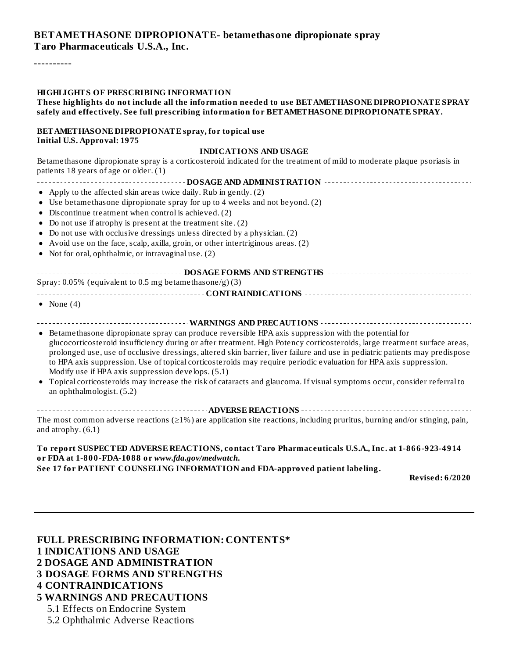#### **BETAMETHASONE DIPROPIONATE- betamethasone dipropionate spray Taro Pharmaceuticals U.S.A., Inc.**

----------

#### **HIGHLIGHTS OF PRESCRIBING INFORMATION**

#### **These highlights do not include all the information needed to use BETAMETHASONE DIPROPIONATE SPRAY safely and effectively. See full prescribing information for BETAMETHASONE DIPROPIONATE SPRAY.**

#### **BETAMETHASONE DIPROPIONATE spray, for topical use Initial U.S. Approval: 1975**

**INDICATIONS AND USAGE** Betamethasone dipropionate spray is a corticosteroid indicated for the treatment of mild to moderate plaque psoriasis in patients 18 years of age or older. (1)

- **DOSAGE AND ADMINISTRATION**
- Apply to the affected skin areas twice daily. Rub in gently. (2)
- Use betamethasone dipropionate spray for up to 4 weeks and not beyond. (2)
- Discontinue treatment when control is achieved. (2)
- Do not use if atrophy is present at the treatment site. (2)
- Do not use with occlusive dressings unless directed by a physician. (2)
- Avoid use on the face, scalp, axilla, groin, or other intertriginous areas. (2)
- Not for oral, ophthalmic, or intravaginal use. (2)

| Spray: 0.05% (equivalent to 0.5 mg betamethasone/g)(3) |
|--------------------------------------------------------|
|                                                        |

- None  $(4)$
- **WARNINGS AND PRECAUTIONS**
- Betamethasone dipropionate spray can produce reversible HPA axis suppression with the potential for glucocorticosteroid insufficiency during or after treatment. High Potency corticosteroids, large treatment surface areas, prolonged use, use of occlusive dressings, altered skin barrier, liver failure and use in pediatric patients may predispose to HPA axis suppression. Use of topical corticosteroids may require periodic evaluation for HPA axis suppression. Modify use if HPA axis suppression develops. (5.1)
- Topical corticosteroids may increase the risk of cataracts and glaucoma. If visualsymptoms occur, consider referral to an ophthalmologist. (5.2)

**ADVERSE REACTIONS** The most common adverse reactions ( $\geq$ 1%) are application site reactions, including pruritus, burning and/or stinging, pain, and atrophy. (6.1)

### **To report SUSPECTED ADVERSE REACTIONS, contact Taro Pharmaceuticals U.S.A., Inc. at 1-866-923-4914 or FDA at 1-800-FDA-1088 or** *www.fda.gov/medwatch***.**

**See 17 for PATIENT COUNSELING INFORMATION and FDA-approved patient labeling.**

**Revised: 6/2020**

**FULL PRESCRIBING INFORMATION: CONTENTS\* INDICATIONS AND USAGE DOSAGE AND ADMINISTRATION DOSAGE FORMS AND STRENGTHS CONTRAINDICATIONS WARNINGS AND PRECAUTIONS** 5.1 Effects on Endocrine System 5.2 Ophthalmic Adverse Reactions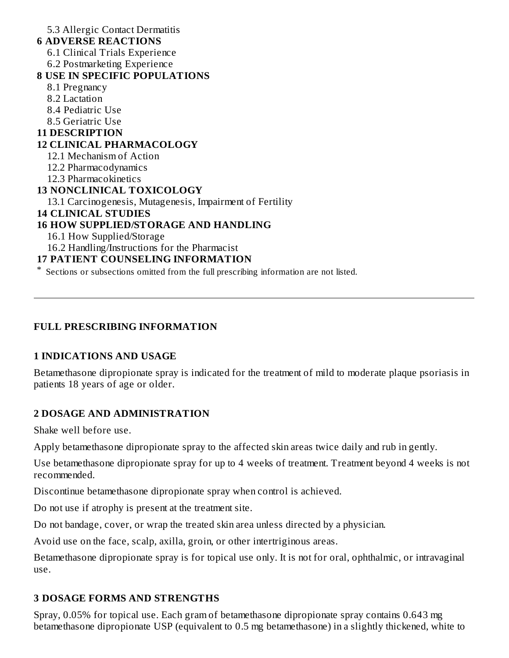5.3 Allergic Contact Dermatitis

#### **6 ADVERSE REACTIONS**

6.1 Clinical Trials Experience

6.2 Postmarketing Experience

### **8 USE IN SPECIFIC POPULATIONS**

- 8.1 Pregnancy
- 8.2 Lactation
- 8.4 Pediatric Use
- 8.5 Geriatric Use

## **11 DESCRIPTION**

## **12 CLINICAL PHARMACOLOGY**

- 12.1 Mechanism of Action
- 12.2 Pharmacodynamics
- 12.3 Pharmacokinetics

# **13 NONCLINICAL TOXICOLOGY**

13.1 Carcinogenesis, Mutagenesis, Impairment of Fertility

## **14 CLINICAL STUDIES**

# **16 HOW SUPPLIED/STORAGE AND HANDLING**

- 16.1 How Supplied/Storage
- 16.2 Handling/Instructions for the Pharmacist

# **17 PATIENT COUNSELING INFORMATION**

\* Sections or subsections omitted from the full prescribing information are not listed.

# **FULL PRESCRIBING INFORMATION**

# **1 INDICATIONS AND USAGE**

Betamethasone dipropionate spray is indicated for the treatment of mild to moderate plaque psoriasis in patients 18 years of age or older.

# **2 DOSAGE AND ADMINISTRATION**

Shake well before use.

Apply betamethasone dipropionate spray to the affected skin areas twice daily and rub in gently.

Use betamethasone dipropionate spray for up to 4 weeks of treatment. Treatment beyond 4 weeks is not recommended.

Discontinue betamethasone dipropionate spray when control is achieved.

Do not use if atrophy is present at the treatment site.

Do not bandage, cover, or wrap the treated skin area unless directed by a physician.

Avoid use on the face, scalp, axilla, groin, or other intertriginous areas.

Betamethasone dipropionate spray is for topical use only. It is not for oral, ophthalmic, or intravaginal use.

# **3 DOSAGE FORMS AND STRENGTHS**

Spray, 0.05% for topical use. Each gram of betamethasone dipropionate spray contains 0.643 mg betamethasone dipropionate USP (equivalent to 0.5 mg betamethasone) in a slightly thickened, white to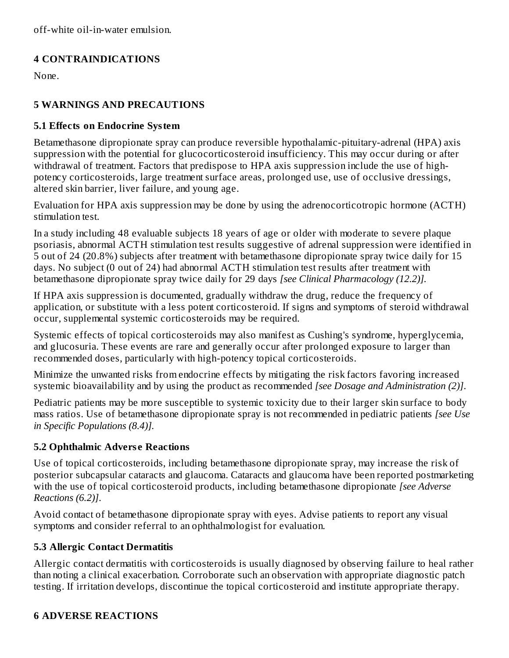# **4 CONTRAINDICATIONS**

None.

# **5 WARNINGS AND PRECAUTIONS**

## **5.1 Effects on Endocrine System**

Betamethasone dipropionate spray can produce reversible hypothalamic-pituitary-adrenal (HPA) axis suppression with the potential for glucocorticosteroid insufficiency. This may occur during or after withdrawal of treatment. Factors that predispose to HPA axis suppression include the use of highpotency corticosteroids, large treatment surface areas, prolonged use, use of occlusive dressings, altered skin barrier, liver failure, and young age.

Evaluation for HPA axis suppression may be done by using the adrenocorticotropic hormone (ACTH) stimulation test.

In a study including 48 evaluable subjects 18 years of age or older with moderate to severe plaque psoriasis, abnormal ACTH stimulation test results suggestive of adrenal suppression were identified in 5 out of 24 (20.8%) subjects after treatment with betamethasone dipropionate spray twice daily for 15 days. No subject (0 out of 24) had abnormal ACTH stimulation test results after treatment with betamethasone dipropionate spray twice daily for 29 days *[see Clinical Pharmacology (12.2)].*

If HPA axis suppression is documented, gradually withdraw the drug, reduce the frequency of application, or substitute with a less potent corticosteroid. If signs and symptoms of steroid withdrawal occur, supplemental systemic corticosteroids may be required.

Systemic effects of topical corticosteroids may also manifest as Cushing's syndrome, hyperglycemia, and glucosuria. These events are rare and generally occur after prolonged exposure to larger than recommended doses, particularly with high-potency topical corticosteroids.

Minimize the unwanted risks from endocrine effects by mitigating the risk factors favoring increased systemic bioavailability and by using the product as recommended *[see Dosage and Administration (2)]*.

Pediatric patients may be more susceptible to systemic toxicity due to their larger skin surface to body mass ratios. Use of betamethasone dipropionate spray is not recommended in pediatric patients *[see Use in Specific Populations (8.4)].*

# **5.2 Ophthalmic Advers e Reactions**

Use of topical corticosteroids, including betamethasone dipropionate spray, may increase the risk of posterior subcapsular cataracts and glaucoma. Cataracts and glaucoma have been reported postmarketing with the use of topical corticosteroid products, including betamethasone dipropionate *[see Adverse Reactions (6.2)]*.

Avoid contact of betamethasone dipropionate spray with eyes. Advise patients to report any visual symptoms and consider referral to an ophthalmologist for evaluation.

# **5.3 Allergic Contact Dermatitis**

Allergic contact dermatitis with corticosteroids is usually diagnosed by observing failure to heal rather than noting a clinical exacerbation. Corroborate such an observation with appropriate diagnostic patch testing. If irritation develops, discontinue the topical corticosteroid and institute appropriate therapy.

# **6 ADVERSE REACTIONS**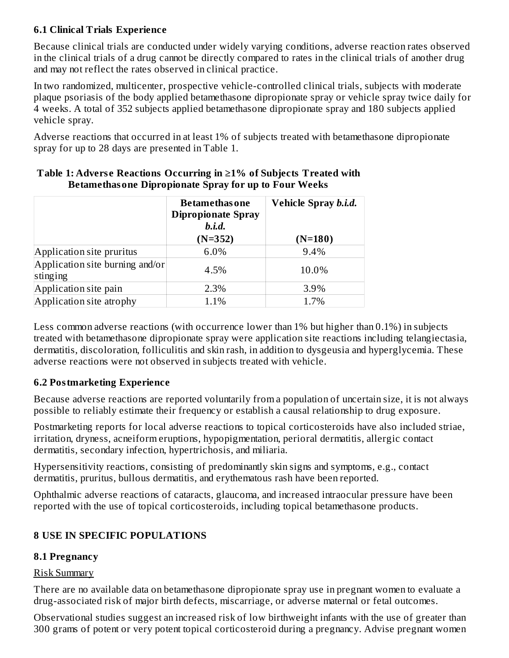## **6.1 Clinical Trials Experience**

Because clinical trials are conducted under widely varying conditions, adverse reaction rates observed in the clinical trials of a drug cannot be directly compared to rates in the clinical trials of another drug and may not reflect the rates observed in clinical practice.

In two randomized, multicenter, prospective vehicle-controlled clinical trials, subjects with moderate plaque psoriasis of the body applied betamethasone dipropionate spray or vehicle spray twice daily for 4 weeks. A total of 352 subjects applied betamethasone dipropionate spray and 180 subjects applied vehicle spray.

Adverse reactions that occurred in at least 1% of subjects treated with betamethasone dipropionate spray for up to 28 days are presented in Table 1.

|                                             | <b>Betamethasone</b><br><b>Dipropionate Spray</b><br>$b.i.d.$<br>$(N=352)$ | Vehicle Spray b.i.d.<br>$(N=180)$ |
|---------------------------------------------|----------------------------------------------------------------------------|-----------------------------------|
| Application site pruritus                   | 6.0%                                                                       | 9.4%                              |
| Application site burning and/or<br>stinging | 4.5%                                                                       | 10.0%                             |
| Application site pain                       | 2.3%                                                                       | 3.9%                              |
| Application site atrophy                    | 1.1%                                                                       | 1.7%                              |

#### **Table 1: Advers e Reactions Occurring in ≥1% of Subjects Treated with Betamethasone Dipropionate Spray for up to Four Weeks**

Less common adverse reactions (with occurrence lower than 1% but higher than 0.1%) in subjects treated with betamethasone dipropionate spray were application site reactions including telangiectasia, dermatitis, discoloration, folliculitis and skin rash, in addition to dysgeusia and hyperglycemia. These adverse reactions were not observed in subjects treated with vehicle.

### **6.2 Postmarketing Experience**

Because adverse reactions are reported voluntarily from a population of uncertain size, it is not always possible to reliably estimate their frequency or establish a causal relationship to drug exposure.

Postmarketing reports for local adverse reactions to topical corticosteroids have also included striae, irritation, dryness, acneiform eruptions, hypopigmentation, perioral dermatitis, allergic contact dermatitis, secondary infection, hypertrichosis, and miliaria.

Hypersensitivity reactions, consisting of predominantly skin signs and symptoms, e.g., contact dermatitis, pruritus, bullous dermatitis, and erythematous rash have been reported.

Ophthalmic adverse reactions of cataracts, glaucoma, and increased intraocular pressure have been reported with the use of topical corticosteroids, including topical betamethasone products.

# **8 USE IN SPECIFIC POPULATIONS**

# **8.1 Pregnancy**

### Risk Summary

There are no available data on betamethasone dipropionate spray use in pregnant women to evaluate a drug-associated risk of major birth defects, miscarriage, or adverse maternal or fetal outcomes.

Observational studies suggest an increased risk of low birthweight infants with the use of greater than 300 grams of potent or very potent topical corticosteroid during a pregnancy. Advise pregnant women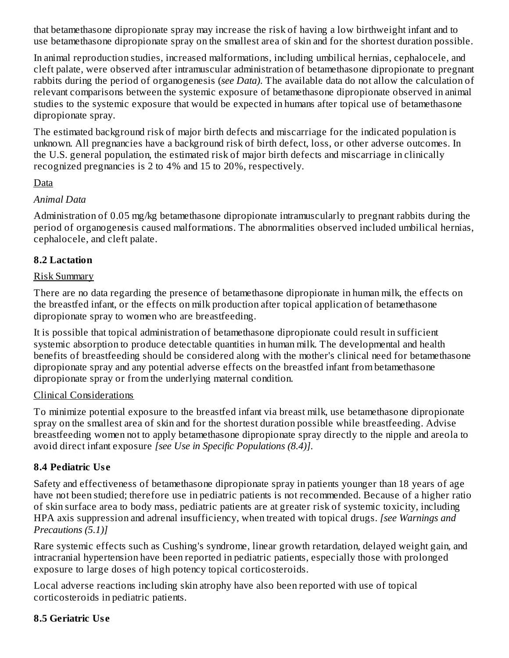that betamethasone dipropionate spray may increase the risk of having a low birthweight infant and to use betamethasone dipropionate spray on the smallest area of skin and for the shortest duration possible.

In animal reproduction studies, increased malformations, including umbilical hernias, cephalocele, and cleft palate, were observed after intramuscular administration of betamethasone dipropionate to pregnant rabbits during the period of organogenesis (*see Data)*. The available data do not allow the calculation of relevant comparisons between the systemic exposure of betamethasone dipropionate observed in animal studies to the systemic exposure that would be expected in humans after topical use of betamethasone dipropionate spray.

The estimated background risk of major birth defects and miscarriage for the indicated population is unknown. All pregnancies have a background risk of birth defect, loss, or other adverse outcomes. In the U.S. general population, the estimated risk of major birth defects and miscarriage in clinically recognized pregnancies is 2 to 4% and 15 to 20%, respectively.

## Data

### *Animal Data*

Administration of 0.05 mg/kg betamethasone dipropionate intramuscularly to pregnant rabbits during the period of organogenesis caused malformations. The abnormalities observed included umbilical hernias, cephalocele, and cleft palate.

## **8.2 Lactation**

### Risk Summary

There are no data regarding the presence of betamethasone dipropionate in human milk, the effects on the breastfed infant, or the effects on milk production after topical application of betamethasone dipropionate spray to women who are breastfeeding.

It is possible that topical administration of betamethasone dipropionate could result in sufficient systemic absorption to produce detectable quantities in human milk. The developmental and health benefits of breastfeeding should be considered along with the mother's clinical need for betamethasone dipropionate spray and any potential adverse effects on the breastfed infant from betamethasone dipropionate spray or from the underlying maternal condition.

# Clinical Considerations

To minimize potential exposure to the breastfed infant via breast milk, use betamethasone dipropionate spray on the smallest area of skin and for the shortest duration possible while breastfeeding. Advise breastfeeding women not to apply betamethasone dipropionate spray directly to the nipple and areola to avoid direct infant exposure *[see Use in Specific Populations (8.4)]*.

# **8.4 Pediatric Us e**

Safety and effectiveness of betamethasone dipropionate spray in patients younger than 18 years of age have not been studied; therefore use in pediatric patients is not recommended. Because of a higher ratio of skin surface area to body mass, pediatric patients are at greater risk of systemic toxicity, including HPA axis suppression and adrenal insufficiency, when treated with topical drugs. *[see Warnings and Precautions (5.1)]*

Rare systemic effects such as Cushing's syndrome, linear growth retardation, delayed weight gain, and intracranial hypertension have been reported in pediatric patients, especially those with prolonged exposure to large doses of high potency topical corticosteroids.

Local adverse reactions including skin atrophy have also been reported with use of topical corticosteroids in pediatric patients.

# **8.5 Geriatric Us e**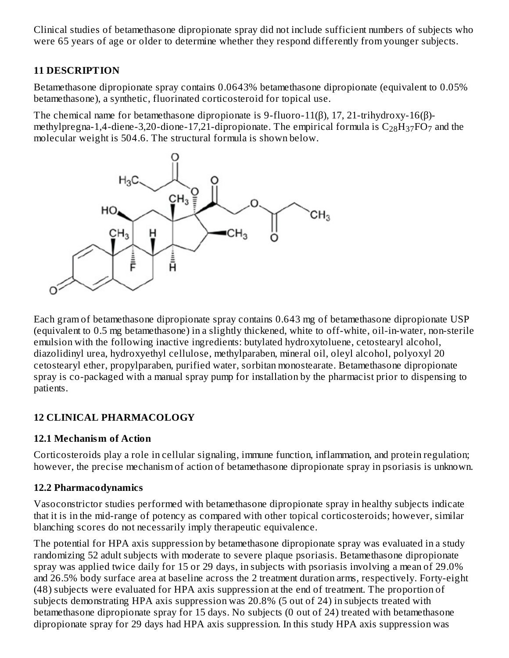Clinical studies of betamethasone dipropionate spray did not include sufficient numbers of subjects who were 65 years of age or older to determine whether they respond differently from younger subjects.

## **11 DESCRIPTION**

Betamethasone dipropionate spray contains 0.0643% betamethasone dipropionate (equivalent to 0.05% betamethasone), a synthetic, fluorinated corticosteroid for topical use.

The chemical name for betamethasone dipropionate is 9-fluoro-11(β), 17, 21-trihydroxy-16(β) methylpregna-1,4-diene-3,20-dione-17,21-dipropionate. The empirical formula is  $\rm{C_{28}H_{37}FO_{7}}$  and the molecular weight is 504.6. The structural formula is shown below.



Each gram of betamethasone dipropionate spray contains 0.643 mg of betamethasone dipropionate USP (equivalent to 0.5 mg betamethasone) in a slightly thickened, white to off-white, oil-in-water, non-sterile emulsion with the following inactive ingredients: butylated hydroxytoluene, cetostearyl alcohol, diazolidinyl urea, hydroxyethyl cellulose, methylparaben, mineral oil, oleyl alcohol, polyoxyl 20 cetostearyl ether, propylparaben, purified water, sorbitan monostearate. Betamethasone dipropionate spray is co-packaged with a manual spray pump for installation by the pharmacist prior to dispensing to patients.

# **12 CLINICAL PHARMACOLOGY**

### **12.1 Mechanism of Action**

Corticosteroids play a role in cellular signaling, immune function, inflammation, and protein regulation; however, the precise mechanism of action of betamethasone dipropionate spray in psoriasis is unknown.

# **12.2 Pharmacodynamics**

Vasoconstrictor studies performed with betamethasone dipropionate spray in healthy subjects indicate that it is in the mid-range of potency as compared with other topical corticosteroids; however, similar blanching scores do not necessarily imply therapeutic equivalence.

The potential for HPA axis suppression by betamethasone dipropionate spray was evaluated in a study randomizing 52 adult subjects with moderate to severe plaque psoriasis. Betamethasone dipropionate spray was applied twice daily for 15 or 29 days, in subjects with psoriasis involving a mean of 29.0% and 26.5% body surface area at baseline across the 2 treatment duration arms, respectively. Forty-eight (48) subjects were evaluated for HPA axis suppression at the end of treatment. The proportion of subjects demonstrating HPA axis suppression was 20.8% (5 out of 24) in subjects treated with betamethasone dipropionate spray for 15 days. No subjects (0 out of 24) treated with betamethasone dipropionate spray for 29 days had HPA axis suppression. In this study HPA axis suppression was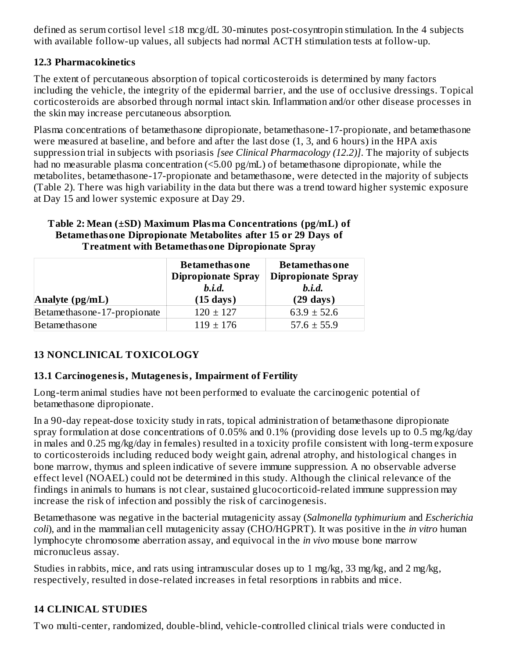defined as serum cortisol level ≤18 mcg/dL 30-minutes post-cosyntropin stimulation. In the 4 subjects with available follow-up values, all subjects had normal ACTH stimulation tests at follow-up.

## **12.3 Pharmacokinetics**

The extent of percutaneous absorption of topical corticosteroids is determined by many factors including the vehicle, the integrity of the epidermal barrier, and the use of occlusive dressings. Topical corticosteroids are absorbed through normal intact skin. Inflammation and/or other disease processes in the skin may increase percutaneous absorption.

Plasma concentrations of betamethasone dipropionate, betamethasone-17-propionate, and betamethasone were measured at baseline, and before and after the last dose (1, 3, and 6 hours) in the HPA axis suppression trial in subjects with psoriasis *[see Clinical Pharmacology (12.2)]*. The majority of subjects had no measurable plasma concentration (<5.00 pg/mL) of betamethasone dipropionate, while the metabolites, betamethasone-17-propionate and betamethasone, were detected in the majority of subjects (Table 2). There was high variability in the data but there was a trend toward higher systemic exposure at Day 15 and lower systemic exposure at Day 29.

#### **Table 2: Mean (±SD) Maximum Plasma Concentrations (pg/mL) of Betamethasone Dipropionate Metabolites after 15 or 29 Days of Treatment with Betamethasone Dipropionate Spray**

| Analyte $(pg/mL)$           | <b>Betamethasone</b><br><b>Dipropionate Spray</b><br>b.i.d.<br>$(15 \text{ days})$ | <b>Betamethas one</b><br><b>Dipropionate Spray</b><br>b.i.d.<br>$(29 \text{ days})$ |  |
|-----------------------------|------------------------------------------------------------------------------------|-------------------------------------------------------------------------------------|--|
| Betamethasone-17-propionate | $120 \pm 127$                                                                      | $63.9 \pm 52.6$                                                                     |  |
| Betamethasone               | $119 \pm 176$                                                                      | $57.6 \pm 55.9$                                                                     |  |

# **13 NONCLINICAL TOXICOLOGY**

### **13.1 Carcinogenesis, Mutagenesis, Impairment of Fertility**

Long-term animal studies have not been performed to evaluate the carcinogenic potential of betamethasone dipropionate.

In a 90-day repeat-dose toxicity study in rats, topical administration of betamethasone dipropionate spray formulation at dose concentrations of 0.05% and 0.1% (providing dose levels up to 0.5 mg/kg/day in males and 0.25 mg/kg/day in females) resulted in a toxicity profile consistent with long-term exposure to corticosteroids including reduced body weight gain, adrenal atrophy, and histological changes in bone marrow, thymus and spleen indicative of severe immune suppression. A no observable adverse effect level (NOAEL) could not be determined in this study. Although the clinical relevance of the findings in animals to humans is not clear, sustained glucocorticoid-related immune suppression may increase the risk of infection and possibly the risk of carcinogenesis.

Betamethasone was negative in the bacterial mutagenicity assay (*Salmonella typhimurium* and *Escherichia coli*), and in the mammalian cell mutagenicity assay (CHO/HGPRT). It was positive in the *in vitro* human lymphocyte chromosome aberration assay, and equivocal in the *in vivo* mouse bone marrow micronucleus assay.

Studies in rabbits, mice, and rats using intramuscular doses up to 1 mg/kg, 33 mg/kg, and 2 mg/kg, respectively, resulted in dose-related increases in fetal resorptions in rabbits and mice.

# **14 CLINICAL STUDIES**

Two multi-center, randomized, double-blind, vehicle-controlled clinical trials were conducted in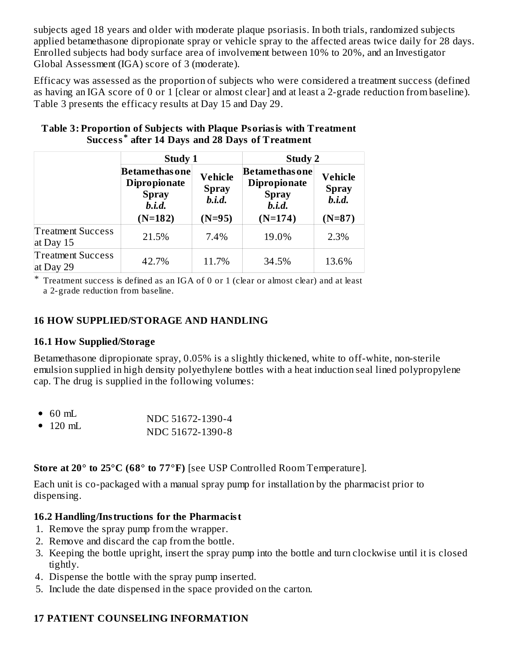subjects aged 18 years and older with moderate plaque psoriasis. In both trials, randomized subjects applied betamethasone dipropionate spray or vehicle spray to the affected areas twice daily for 28 days. Enrolled subjects had body surface area of involvement between 10% to 20%, and an Investigator Global Assessment (IGA) score of 3 (moderate).

Efficacy was assessed as the proportion of subjects who were considered a treatment success (defined as having an IGA score of 0 or 1 [clear or almost clear] and at least a 2-grade reduction from baseline). Table 3 presents the efficacy results at Day 15 and Day 29.

|                                       | <b>Study 1</b>                                                         |                                            | <b>Study 2</b>                                                               |                                          |  |
|---------------------------------------|------------------------------------------------------------------------|--------------------------------------------|------------------------------------------------------------------------------|------------------------------------------|--|
|                                       | <b>Betamethas one</b><br><b>Dipropionate</b><br><b>Spray</b><br>b.i.d. | <b>Vehicle</b><br><b>Spray</b><br>$b.i.d.$ | <b>Betamethasone</b><br><b>Dipropionate</b><br><b>Spray</b><br><i>b.i.d.</i> | Vehicle<br><b>Spray</b><br><i>b.i.d.</i> |  |
|                                       | $(N=182)$                                                              | $(N=95)$                                   | $(N=174)$                                                                    | $(N=87)$                                 |  |
| <b>Treatment Success</b><br>at Day 15 | 21.5%                                                                  | 7.4%                                       | 19.0%                                                                        | 2.3%                                     |  |
| <b>Treatment Success</b><br>at Day 29 | 42.7%                                                                  | 11.7%                                      | 34.5%                                                                        | 13.6%                                    |  |

#### **Table 3: Proportion of Subjects with Plaque Psoriasis with Treatment Success after 14 Days and 28 Days of Treatment \***

\* Treatment success is defined as an IGA of 0 or 1 (clear or almost clear) and at least a 2-grade reduction from baseline.

## **16 HOW SUPPLIED/STORAGE AND HANDLING**

### **16.1 How Supplied/Storage**

Betamethasone dipropionate spray, 0.05% is a slightly thickened, white to off-white, non-sterile emulsion supplied in high density polyethylene bottles with a heat induction seal lined polypropylene cap. The drug is supplied in the following volumes:

|          | $\bullet$ 60 mL | NDC 51672-1390-4 |
|----------|-----------------|------------------|
| • 120 mL |                 |                  |
|          |                 | NDC 51672-1390-8 |

**Store at 20° to 25°C (68° to 77°F)** [see USP Controlled Room Temperature].

Each unit is co-packaged with a manual spray pump for installation by the pharmacist prior to dispensing.

# **16.2 Handling/Instructions for the Pharmacist**

- 1. Remove the spray pump from the wrapper.
- 2. Remove and discard the cap from the bottle.
- 3. Keeping the bottle upright, insert the spray pump into the bottle and turn clockwise until it is closed tightly.
- 4. Dispense the bottle with the spray pump inserted.
- 5. Include the date dispensed in the space provided on the carton.

# **17 PATIENT COUNSELING INFORMATION**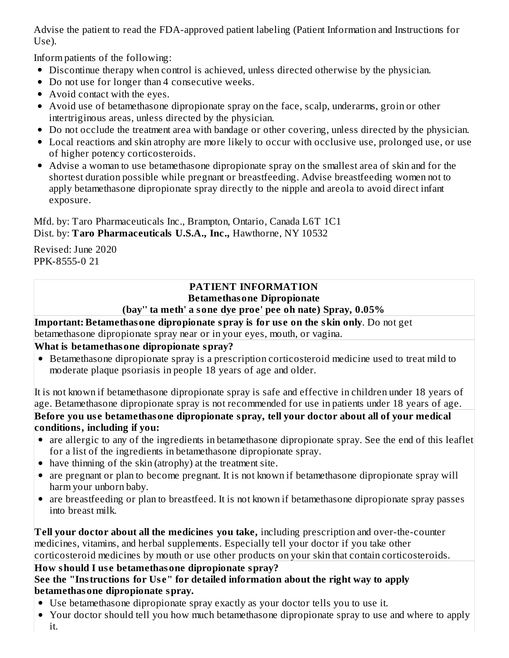Advise the patient to read the FDA-approved patient labeling (Patient Information and Instructions for Use).

Inform patients of the following:

- Discontinue therapy when control is achieved, unless directed otherwise by the physician.
- Do not use for longer than 4 consecutive weeks.
- Avoid contact with the eyes.
- Avoid use of betamethasone dipropionate spray on the face, scalp, underarms, groin or other intertriginous areas, unless directed by the physician.
- Do not occlude the treatment area with bandage or other covering, unless directed by the physician.
- Local reactions and skin atrophy are more likely to occur with occlusive use, prolonged use, or use of higher potency corticosteroids.
- Advise a woman to use betamethasone dipropionate spray on the smallest area of skin and for the shortest duration possible while pregnant or breastfeeding. Advise breastfeeding women not to apply betamethasone dipropionate spray directly to the nipple and areola to avoid direct infant exposure.

Mfd. by: Taro Pharmaceuticals Inc., Brampton, Ontario, Canada L6T 1C1 Dist. by: **Taro Pharmaceuticals U.S.A., Inc.,** Hawthorne, NY 10532

Revised: June 2020 PPK-8555-0 21

#### **PATIENT INFORMATION Betamethasone Dipropionate (bay'' ta meth' a sone dye proe' pee oh nate) Spray, 0.05%**

**Important: Betamethasone dipropionate spray is for us e on the skin only**. Do not get betamethasone dipropionate spray near or in your eyes, mouth, or vagina.

# **What is betamethasone dipropionate spray?**

Betamethasone dipropionate spray is a prescription corticosteroid medicine used to treat mild to moderate plaque psoriasis in people 18 years of age and older.

It is not known if betamethasone dipropionate spray is safe and effective in children under 18 years of age. Betamethasone dipropionate spray is not recommended for use in patients under 18 years of age. **Before you us e betamethasone dipropionate spray, tell your doctor about all of your medical**

# **conditions, including if you:**

- are allergic to any of the ingredients in betamethasone dipropionate spray. See the end of this leaflet for a list of the ingredients in betamethasone dipropionate spray.
- have thinning of the skin (atrophy) at the treatment site.
- are pregnant or plan to become pregnant. It is not known if betamethasone dipropionate spray will harm your unborn baby.
- are breastfeeding or plan to breastfeed. It is not known if betamethasone dipropionate spray passes into breast milk.

**Tell your doctor about all the medicines you take,** including prescription and over-the-counter medicines, vitamins, and herbal supplements. Especially tell your doctor if you take other corticosteroid medicines by mouth or use other products on your skin that contain corticosteroids.

### **How should I us e betamethasone dipropionate spray? See the "Instructions for Us e" for detailed information about the right way to apply betamethasone dipropionate spray.**

- Use betamethasone dipropionate spray exactly as your doctor tells you to use it.
- Your doctor should tell you how much betamethasone dipropionate spray to use and where to apply  $\bullet$ it.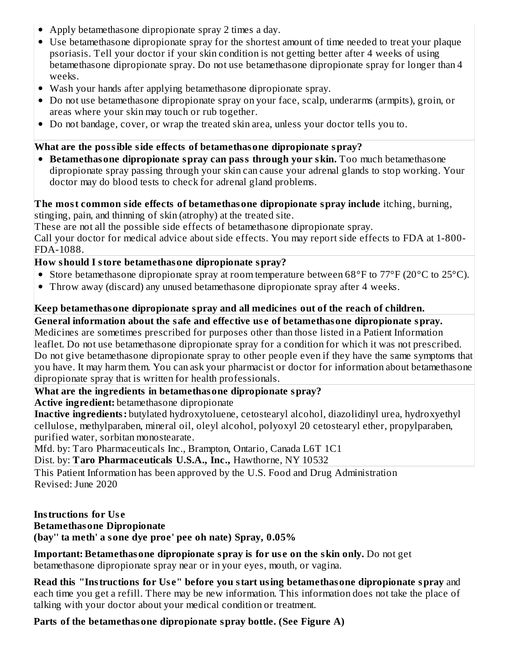- Apply betamethasone dipropionate spray 2 times a day.
- Use betamethasone dipropionate spray for the shortest amount of time needed to treat your plaque psoriasis. Tell your doctor if your skin condition is not getting better after 4 weeks of using betamethasone dipropionate spray. Do not use betamethasone dipropionate spray for longer than 4 weeks.
- Wash your hands after applying betamethasone dipropionate spray.
- Do not use betamethasone dipropionate spray on your face, scalp, underarms (armpits), groin, or areas where your skin may touch or rub together.
- Do not bandage, cover, or wrap the treated skin area, unless your doctor tells you to.

## **What are the possible side effects of betamethasone dipropionate spray?**

**Betamethasone dipropionate spray can pass through your skin.** Too much betamethasone dipropionate spray passing through your skin can cause your adrenal glands to stop working. Your doctor may do blood tests to check for adrenal gland problems.

#### **The most common side effects of betamethasone dipropionate spray include** itching, burning, stinging, pain, and thinning of skin (atrophy) at the treated site.

These are not all the possible side effects of betamethasone dipropionate spray.

Call your doctor for medical advice about side effects. You may report side effects to FDA at 1-800- FDA-1088.

## **How should I store betamethasone dipropionate spray?**

- Store betamethasone dipropionate spray at room temperature between 68°F to 77°F (20°C to 25°C).
- Throw away (discard) any unused betamethasone dipropionate spray after 4 weeks.

# **Keep betamethasone dipropionate spray and all medicines out of the reach of children.**

# **General information about the safe and effective us e of betamethasone dipropionate spray.**

Medicines are sometimes prescribed for purposes other than those listed in a Patient Information leaflet. Do not use betamethasone dipropionate spray for a condition for which it was not prescribed. Do not give betamethasone dipropionate spray to other people even if they have the same symptoms that you have. It may harm them. You can ask your pharmacist or doctor for information about betamethasone dipropionate spray that is written for health professionals.

### **What are the ingredients in betamethasone dipropionate spray?**

**Active ingredient:** betamethasone dipropionate

**Inactive ingredients:** butylated hydroxytoluene, cetostearyl alcohol, diazolidinyl urea, hydroxyethyl cellulose, methylparaben, mineral oil, oleyl alcohol, polyoxyl 20 cetostearyl ether, propylparaben, purified water, sorbitan monostearate.

Mfd. by: Taro Pharmaceuticals Inc., Brampton, Ontario, Canada L6T 1C1

Dist. by: **Taro Pharmaceuticals U.S.A., Inc.,** Hawthorne, NY 10532

This Patient Information has been approved by the U.S. Food and Drug Administration Revised: June 2020

# **Instructions for Us e**

### **Betamethasone Dipropionate**

**(bay'' ta meth' a sone dye proe' pee oh nate) Spray, 0.05%**

**Important: Betamethasone dipropionate spray is for us e on the skin only.** Do not get betamethasone dipropionate spray near or in your eyes, mouth, or vagina.

**Read this "Instructions for Us e" before you start using betamethasone dipropionate spray** and each time you get a refill. There may be new information. This information does not take the place of talking with your doctor about your medical condition or treatment.

# **Parts of the betamethasone dipropionate spray bottle. (See Figure A)**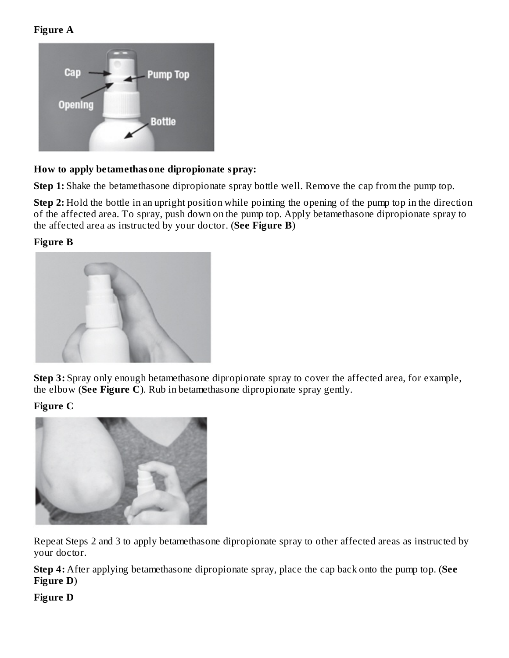**Figure A**



### **How to apply betamethasone dipropionate spray:**

**Step 1:** Shake the betamethasone dipropionate spray bottle well. Remove the cap from the pump top.

**Step 2:** Hold the bottle in an upright position while pointing the opening of the pump top in the direction of the affected area. To spray, push down on the pump top. Apply betamethasone dipropionate spray to the affected area as instructed by your doctor. (**See Figure B**)

#### **Figure B**



**Step 3:** Spray only enough betamethasone dipropionate spray to cover the affected area, for example, the elbow (**See Figure C**). Rub in betamethasone dipropionate spray gently.

#### **Figure C**



Repeat Steps 2 and 3 to apply betamethasone dipropionate spray to other affected areas as instructed by your doctor.

**Step 4:** After applying betamethasone dipropionate spray, place the cap back onto the pump top. (**See Figure D**)

**Figure D**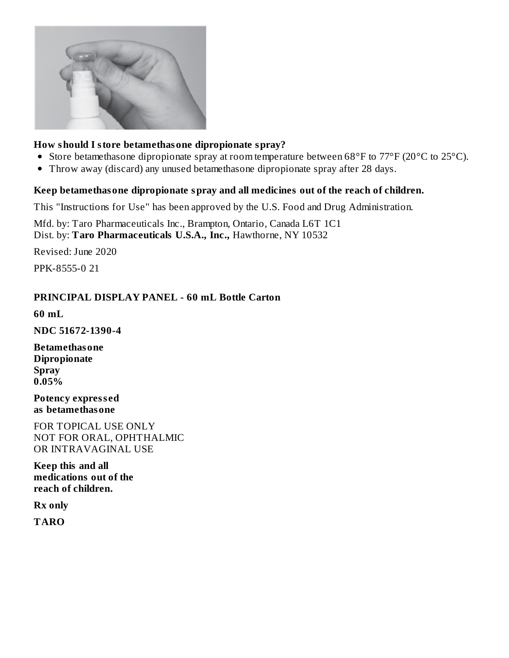

### **How should I store betamethasone dipropionate spray?**

- Store betamethasone dipropionate spray at room temperature between 68°F to 77°F (20°C to 25°C).
- Throw away (discard) any unused betamethasone dipropionate spray after 28 days.  $\bullet$

### **Keep betamethasone dipropionate spray and all medicines out of the reach of children.**

This "Instructions for Use" has been approved by the U.S. Food and Drug Administration.

Mfd. by: Taro Pharmaceuticals Inc., Brampton, Ontario, Canada L6T 1C1 Dist. by: **Taro Pharmaceuticals U.S.A., Inc.,** Hawthorne, NY 10532

Revised: June 2020

PPK-8555-0 21

## **PRINCIPAL DISPLAY PANEL - 60 mL Bottle Carton**

**60 mL**

**NDC 51672-1390-4**

**Betamethasone Dipropionate Spray 0.05%**

**Potency express ed as betamethasone**

FOR TOPICAL USE ONLY NOT FOR ORAL, OPHTHALMIC OR INTRAVAGINAL USE

**Keep this and all medications out of the reach of children.**

**Rx only**

**TARO**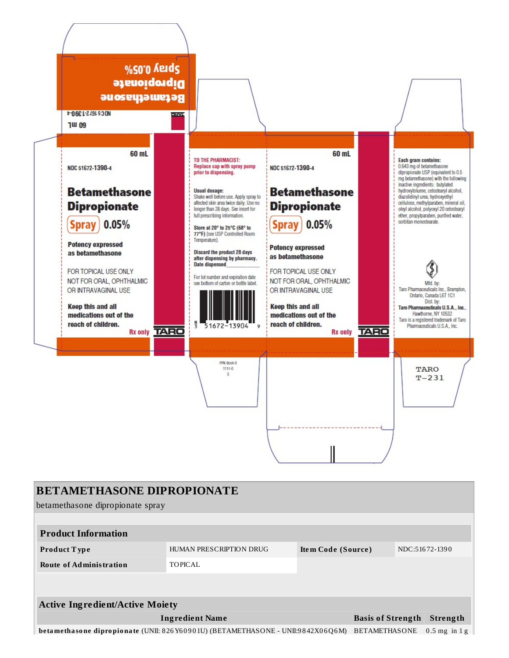

| <b>BETAMETHASONE DIPROPIONATE</b>                                                                                           |                         |                    |  |  |                |  |  |
|-----------------------------------------------------------------------------------------------------------------------------|-------------------------|--------------------|--|--|----------------|--|--|
| betamethasone dipropionate spray                                                                                            |                         |                    |  |  |                |  |  |
|                                                                                                                             |                         |                    |  |  |                |  |  |
| <b>Product Information</b>                                                                                                  |                         |                    |  |  |                |  |  |
| <b>Product Type</b>                                                                                                         | HUMAN PRESCRIPTION DRUG | Item Code (Source) |  |  | NDC:51672-1390 |  |  |
| <b>Route of Administration</b>                                                                                              | <b>TOPICAL</b>          |                    |  |  |                |  |  |
|                                                                                                                             |                         |                    |  |  |                |  |  |
|                                                                                                                             |                         |                    |  |  |                |  |  |
| <b>Active Ingredient/Active Moiety</b>                                                                                      |                         |                    |  |  |                |  |  |
| <b>Ingredient Name</b><br><b>Basis of Strength</b><br>Strength                                                              |                         |                    |  |  |                |  |  |
| betamethasone dipropionate (UNII: 826 Y60901U) (BETAMETHASONE - UNII:9842X06Q6M)<br><b>BETAMETHASONE</b><br>$0.5$ mg in 1 g |                         |                    |  |  |                |  |  |